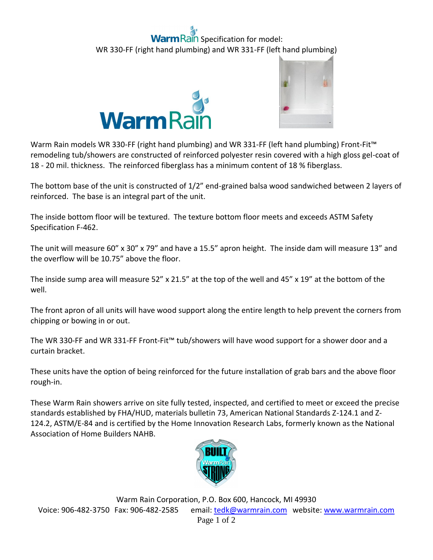## aln Specification for model: WR 330-FF (right hand plumbing) and WR 331-FF (left hand plumbing)





Warm Rain models WR 330-FF (right hand plumbing) and WR 331-FF (left hand plumbing) Front-Fit<sup>™</sup> remodeling tub/showers are constructed of reinforced polyester resin covered with a high gloss gel-coat of 18 - 20 mil. thickness. The reinforced fiberglass has a minimum content of 18 % fiberglass.

The bottom base of the unit is constructed of 1/2" end-grained balsa wood sandwiched between 2 layers of reinforced. The base is an integral part of the unit.

The inside bottom floor will be textured. The texture bottom floor meets and exceeds ASTM Safety Specification F-462.

The unit will measure 60" x 30" x 79" and have a 15.5" apron height. The inside dam will measure 13" and the overflow will be 10.75" above the floor.

The inside sump area will measure 52" x 21.5" at the top of the well and 45" x 19" at the bottom of the well.

The front apron of all units will have wood support along the entire length to help prevent the corners from chipping or bowing in or out.

The WR 330-FF and WR 331-FF Front-Fit™ tub/showers will have wood support for a shower door and a curtain bracket.

These units have the option of being reinforced for the future installation of grab bars and the above floor rough-in.

These Warm Rain showers arrive on site fully tested, inspected, and certified to meet or exceed the precise standards established by FHA/HUD, materials bulletin 73, American National Standards Z-124.1 and Z-124.2, ASTM/E-84 and is certified by the Home Innovation Research Labs, formerly known as the National Association of Home Builders NAHB.